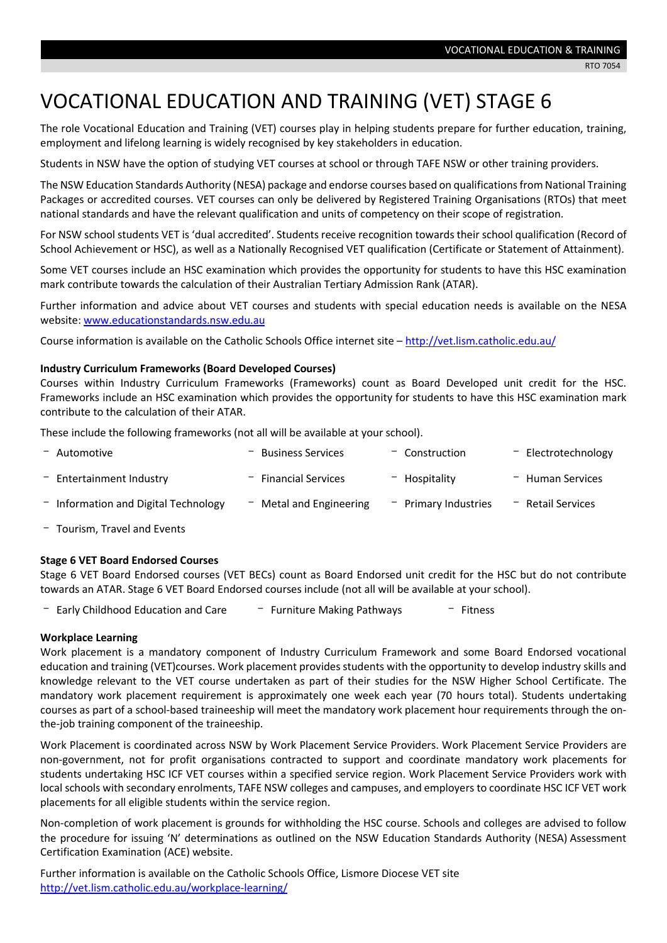# VOCATIONAL EDUCATION AND TRAINING (VET) STAGE 6

The role Vocational Education and Training (VET) courses play in helping students prepare for further education, training, employment and lifelong learning is widely recognised by key stakeholders in education.

Students in NSW have the option of studying VET courses at school or through TAFE NSW or other training providers.

The NSW Education Standards Authority (NESA) package and endorse courses based on qualifications from National Training Packages or accredited courses. VET courses can only be delivered by Registered Training Organisations (RTOs) that meet national standards and have the relevant qualification and units of competency on their scope of registration.

For NSW school students VET is 'dual accredited'. Students receive recognition towards their school qualification (Record of School Achievement or HSC), as well as a Nationally Recognised VET qualification (Certificate or Statement of Attainment).

Some VET courses include an HSC examination which provides the opportunity for students to have this HSC examination mark contribute towards the calculation of their Australian Tertiary Admission Rank (ATAR).

Further information and advice about VET courses and students with special education needs is available on the NESA website[: www.educationstandards.nsw.edu.au](http://www.educationstandards.nsw.edu.au/)

Course information is available on the Catholic Schools Office internet site - <http://vet.lism.catholic.edu.au/>

## **Industry Curriculum Frameworks (Board Developed Courses)**

Courses within Industry Curriculum Frameworks (Frameworks) count as Board Developed unit credit for the HSC. Frameworks include an HSC examination which provides the opportunity for students to have this HSC examination mark contribute to the calculation of their ATAR.

These include the following frameworks (not all will be available at your school).

| - Automotive                           | $-$ Business Services     | $-$ Construction       | $-$ Electrotechnology |
|----------------------------------------|---------------------------|------------------------|-----------------------|
| $-$ Entertainment Industry             | $-$ Financial Services    | - Hospitality          | $-$ Human Services    |
| $-$ Information and Digital Technology | $-$ Metal and Engineering | $-$ Primary Industries | $-$ Retail Services   |

- Tourism, Travel and Events

# **Stage 6 VET Board Endorsed Courses**

Stage 6 VET Board Endorsed courses (VET BECs) count as Board Endorsed unit credit for the HSC but do not contribute towards an ATAR. Stage 6 VET Board Endorsed courses include (not all will be available at your school).

- Early Childhood Education and Care  $\overline{a}$  - Furniture Making Pathways  $\overline{a}$  - Fitness

## **Workplace Learning**

Work placement is a mandatory component of Industry Curriculum Framework and some Board Endorsed vocational education and training (VET)courses. Work placement provides students with the opportunity to develop industry skills and knowledge relevant to the VET course undertaken as part of their studies for the NSW Higher School Certificate. The mandatory work placement requirement is approximately one week each year (70 hours total). Students undertaking courses as part of a school-based traineeship will meet the mandatory work placement hour requirements through the onthe-job training component of the traineeship.

Work Placement is coordinated across NSW by Work Placement Service Providers. Work Placement Service Providers are non-government, not for profit organisations contracted to support and coordinate mandatory work placements for students undertaking HSC ICF VET courses within a specified service region. Work Placement Service Providers work with local schools with secondary enrolments, TAFE NSW colleges and campuses, and employers to coordinate HSC ICF VET work placements for all eligible students within the service region.

Non-completion of work placement is grounds for withholding the HSC course. Schools and colleges are advised to follow the procedure for issuing 'N' determinations as outlined on the NSW Education Standards Authority (NESA) [Assessment](http://ace.nesa.nsw.edu.au/)  [Certification Examination \(ACE\) website.](http://ace.nesa.nsw.edu.au/)

Further information is available on the Catholic Schools Office, Lismore Diocese VET site <http://vet.lism.catholic.edu.au/workplace-learning/>